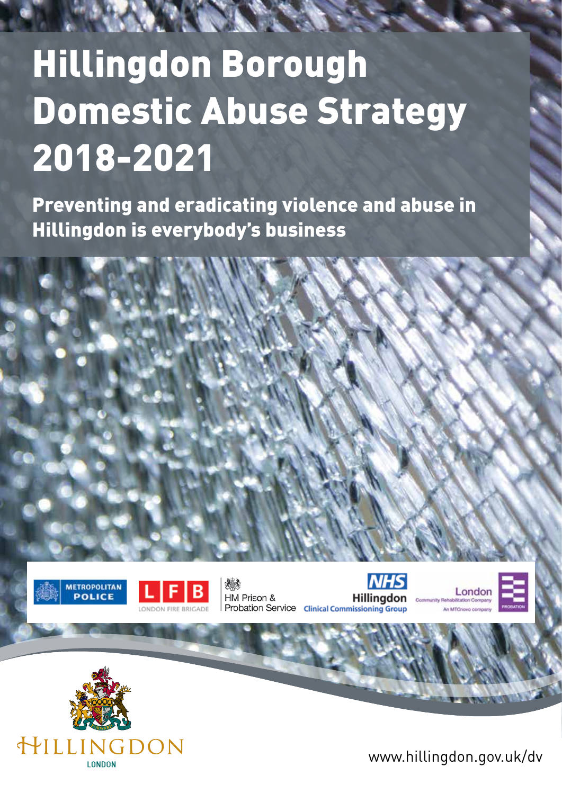# Hillingdon Borough Domestic Abuse Strategy 2018-2021

 $-100$ 

**STAR LINES** 

Preventing and eradicating violence and abuse in Hillingdon is everybody's business





岩 HM Prison & Probation Service Clinical Commissioning Group









www.hillingdon.gov.uk/dv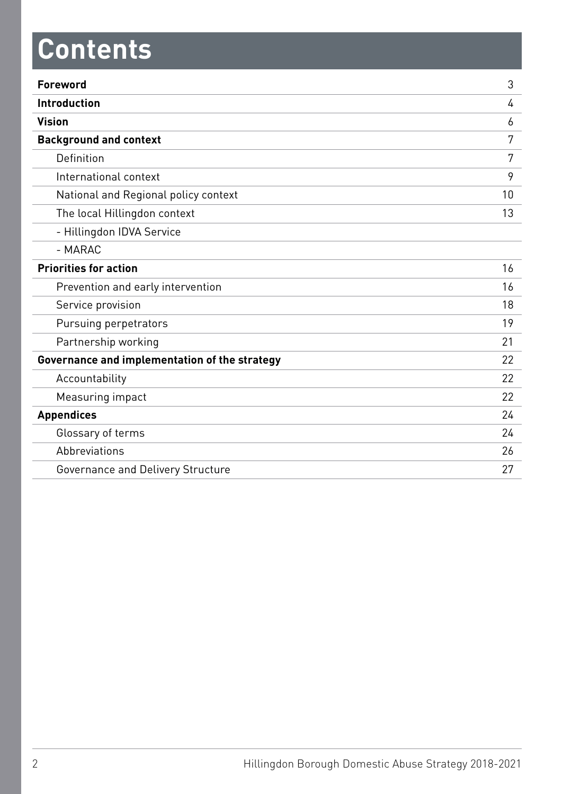# **Contents**

| <b>Introduction</b><br><b>Vision</b>          | 4<br>6<br>7 |
|-----------------------------------------------|-------------|
|                                               |             |
|                                               |             |
| <b>Background and context</b>                 |             |
| Definition                                    | 7           |
| International context                         | 9           |
| National and Regional policy context          | 10          |
| The local Hillingdon context                  | 13          |
| - Hillingdon IDVA Service                     |             |
| - MARAC                                       |             |
| <b>Priorities for action</b>                  | 16          |
| Prevention and early intervention             | 16          |
| Service provision                             | 18          |
| Pursuing perpetrators                         | 19          |
| Partnership working                           | 21          |
| Governance and implementation of the strategy | 22          |
| Accountability                                | 22          |
| Measuring impact                              | 22          |
| <b>Appendices</b>                             | 24          |
| Glossary of terms                             | 24          |
| Abbreviations                                 | 26          |
| Governance and Delivery Structure             | 27          |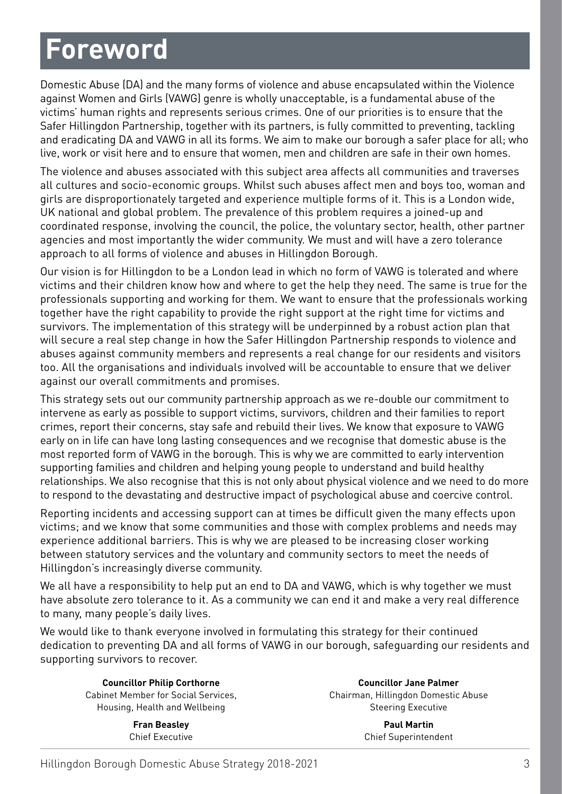### **Foreword**

Domestic Abuse (DA) and the many forms of violence and abuse encapsulated within the Violence against Women and Girls (VAWG) genre is wholly unacceptable, is a fundamental abuse of the victims' human rights and represents serious crimes. One of our priorities is to ensure that the Safer Hillingdon Partnership, together with its partners, is fully committed to preventing, tackling and eradicating DA and VAWG in all its forms. We aim to make our borough a safer place for all; who live, work or visit here and to ensure that women, men and children are safe in their own homes.

The violence and abuses associated with this subject area affects all communities and traverses all cultures and socio-economic groups. Whilst such abuses affect men and boys too, woman and girls are disproportionately targeted and experience multiple forms of it. This is a London wide, UK national and global problem. The prevalence of this problem requires a joined-up and coordinated response, involving the council, the police, the voluntary sector, health, other partner agencies and most importantly the wider community. We must and will have a zero tolerance approach to all forms of violence and abuses in Hillingdon Borough.

Our vision is for Hillingdon to be a London lead in which no form of VAWG is tolerated and where victims and their children know how and where to get the help they need. The same is true for the professionals supporting and working for them. We want to ensure that the professionals working together have the right capability to provide the right support at the right time for victims and survivors. The implementation of this strategy will be underpinned by a robust action plan that will secure a real step change in how the Safer Hillingdon Partnership responds to violence and abuses against community members and represents a real change for our residents and visitors too. All the organisations and individuals involved will be accountable to ensure that we deliver against our overall commitments and promises.

This strategy sets out our community partnership approach as we re-double our commitment to intervene as early as possible to support victims, survivors, children and their families to report crimes, report their concerns, stay safe and rebuild their lives. We know that exposure to VAWG early on in life can have long lasting consequences and we recognise that domestic abuse is the most reported form of VAWG in the borough. This is why we are committed to early intervention supporting families and children and helping young people to understand and build healthy relationships. We also recognise that this is not only about physical violence and we need to do more to respond to the devastating and destructive impact of psychological abuse and coercive control.

Reporting incidents and accessing support can at times be difficult given the many effects upon victims; and we know that some communities and those with complex problems and needs may experience additional barriers. This is why we are pleased to be increasing closer working between statutory services and the voluntary and community sectors to meet the needs of Hillingdon's increasingly diverse community.

We all have a responsibility to help put an end to DA and VAWG, which is why together we must have absolute zero tolerance to it. As a community we can end it and make a very real difference to many, many people's daily lives.

We would like to thank everyone involved in formulating this strategy for their continued dedication to preventing DA and all forms of VAWG in our borough, safeguarding our residents and supporting survivors to recover.

**Councillor Philip Corthorne**  Cabinet Member for Social Services, Housing, Health and Wellbeing

> **Fran Beasley** Chief Executive

**Councillor Jane Palmer** Chairman, Hillingdon Domestic Abuse Steering Executive

> **Paul Martin** Chief Superintendent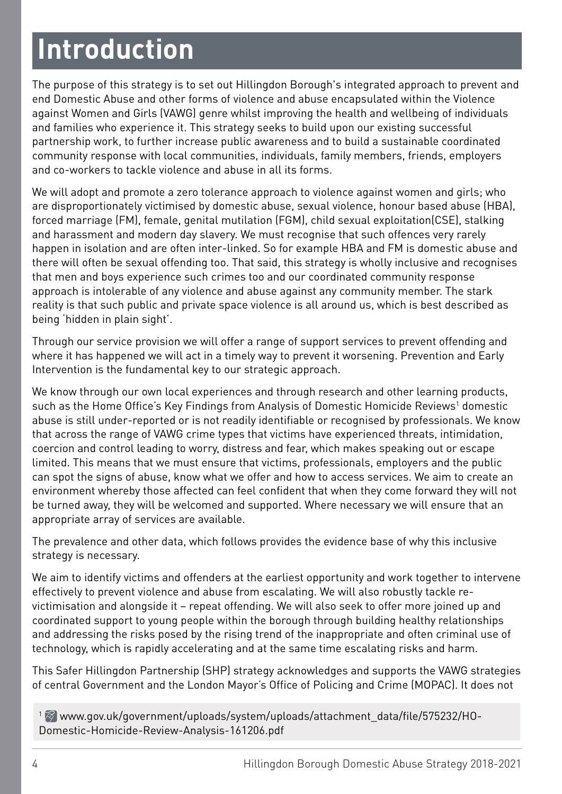### **Introduction**

The purpose of this strategy is to set out Hillingdon Borough's integrated approach to prevent and end Domestic Abuse and other forms of violence and abuse encapsulated within the Violence against Women and Girls (VAWG) genre whilst improving the health and wellbeing of individuals and families who experience it. This strategy seeks to build upon our existing successful partnership work, to further increase public awareness and to build a sustainable coordinated community response with local communities, individuals, family members, friends, employers and co-workers to tackle violence and abuse in all its forms.

We will adopt and promote a zero tolerance approach to violence against women and girls; who are disproportionately victimised by domestic abuse, sexual violence, honour based abuse (HBA), forced marriage (FM), female, genital mutilation (FGM), child sexual exploitation(CSE), stalking and harassment and modern day slavery. We must recognise that such offences very rarely happen in isolation and are often inter-linked. So for example HBA and FM is domestic abuse and there will often be sexual offending too. That said, this strategy is wholly inclusive and recognises that men and boys experience such crimes too and our coordinated community response approach is intolerable of any violence and abuse against any community member. The stark reality is that such public and private space violence is all around us, which is best described as being 'hidden in plain sight'.

Through our service provision we will offer a range of support services to prevent offending and where it has happened we will act in a timely way to prevent it worsening. Prevention and Early Intervention is the fundamental key to our strategic approach.

We know through our own local experiences and through research and other learning products, such as the Home Office's Key Findings from Analysis of Domestic Homicide Reviews<sup>1</sup> domestic abuse is still under-reported or is not readily identifiable or recognised by professionals. We know that across the range of VAWG crime types that victims have experienced threats, intimidation, coercion and control leading to worry, distress and fear, which makes speaking out or escape limited. This means that we must ensure that victims, professionals, employers and the public can spot the signs of abuse, know what we offer and how to access services. We aim to create an environment whereby those affected can feel confident that when they come forward they will not be turned away, they will be welcomed and supported. Where necessary we will ensure that an appropriate array of services are available.

The prevalence and other data, which follows provides the evidence base of why this inclusive strategy is necessary.

We aim to identify victims and offenders at the earliest opportunity and work together to intervene effectively to prevent violence and abuse from escalating. We will also robustly tackle revictimisation and alongside it – repeat offending. We will also seek to offer more joined up and coordinated support to young people within the borough through building healthy relationships and addressing the risks posed by the rising trend of the inappropriate and often criminal use of technology, which is rapidly accelerating and at the same time escalating risks and harm.

This Safer Hillingdon Partnership (SHP) strategy acknowledges and supports the VAWG strategies of central Government and the London Mayor's Office of Policing and Crime (MOPAC). It does not

1 8 www.gov.uk/government/uploads/system/uploads/attachment\_data/file/575232/HO-Domestic-Homicide-Review-Analysis-161206.pdf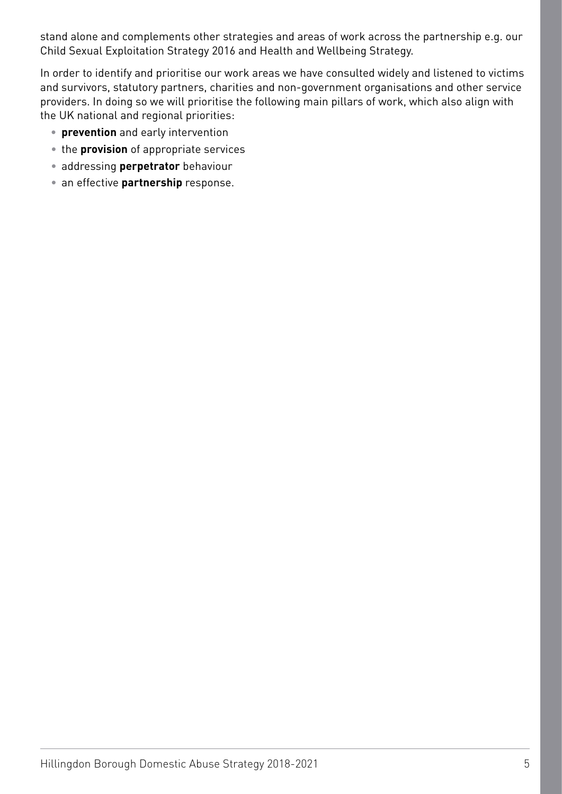stand alone and complements other strategies and areas of work across the partnership e.g. our Child Sexual Exploitation Strategy 2016 and Health and Wellbeing Strategy.

In order to identify and prioritise our work areas we have consulted widely and listened to victims and survivors, statutory partners, charities and non-government organisations and other service providers. In doing so we will prioritise the following main pillars of work, which also align with the UK national and regional priorities:

- **• prevention** and early intervention
- the **provision** of appropriate services
- addressing **perpetrator** behaviour
- an effective **partnership** response.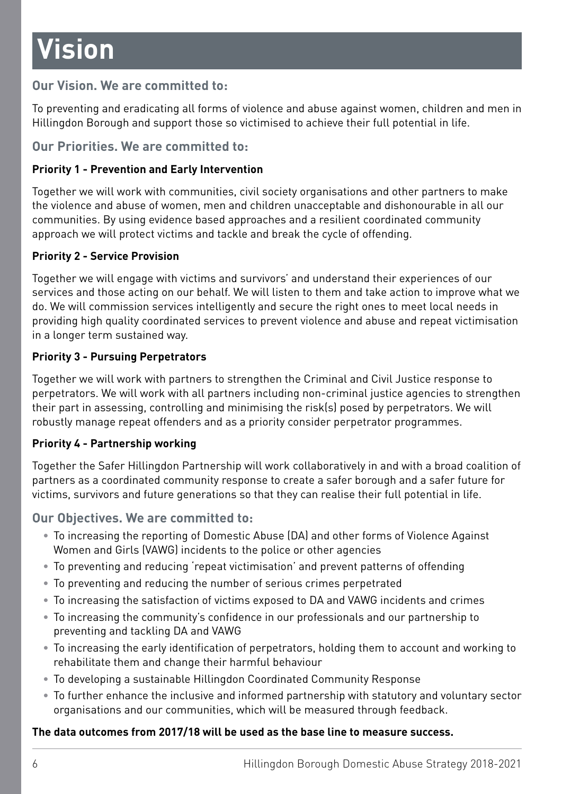# **Vision**

### **Our Vision. We are committed to:**

To preventing and eradicating all forms of violence and abuse against women, children and men in Hillingdon Borough and support those so victimised to achieve their full potential in life.

### **Our Priorities. We are committed to:**

### **Priority 1 - Prevention and Early Intervention**

Together we will work with communities, civil society organisations and other partners to make the violence and abuse of women, men and children unacceptable and dishonourable in all our communities. By using evidence based approaches and a resilient coordinated community approach we will protect victims and tackle and break the cycle of offending.

### **Priority 2 - Service Provision**

Together we will engage with victims and survivors' and understand their experiences of our services and those acting on our behalf. We will listen to them and take action to improve what we do. We will commission services intelligently and secure the right ones to meet local needs in providing high quality coordinated services to prevent violence and abuse and repeat victimisation in a longer term sustained way.

### **Priority 3 - Pursuing Perpetrators**

Together we will work with partners to strengthen the Criminal and Civil Justice response to perpetrators. We will work with all partners including non-criminal justice agencies to strengthen their part in assessing, controlling and minimising the risk(s) posed by perpetrators. We will robustly manage repeat offenders and as a priority consider perpetrator programmes.

#### **Priority 4 - Partnership working**

Together the Safer Hillingdon Partnership will work collaboratively in and with a broad coalition of partners as a coordinated community response to create a safer borough and a safer future for victims, survivors and future generations so that they can realise their full potential in life.

### **Our Objectives. We are committed to:**

- To increasing the reporting of Domestic Abuse (DA) and other forms of Violence Against Women and Girls (VAWG) incidents to the police or other agencies
- To preventing and reducing 'repeat victimisation' and prevent patterns of offending
- To preventing and reducing the number of serious crimes perpetrated
- To increasing the satisfaction of victims exposed to DA and VAWG incidents and crimes
- To increasing the community's confidence in our professionals and our partnership to preventing and tackling DA and VAWG
- To increasing the early identification of perpetrators, holding them to account and working to rehabilitate them and change their harmful behaviour
- To developing a sustainable Hillingdon Coordinated Community Response
- To further enhance the inclusive and informed partnership with statutory and voluntary sector organisations and our communities, which will be measured through feedback.

#### **The data outcomes from 2017/18 will be used as the base line to measure success.**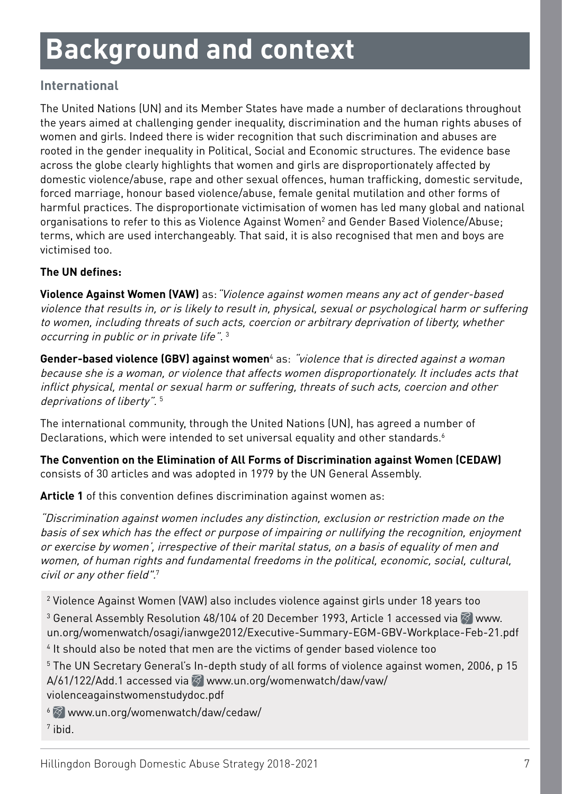### **Background and context**

### **International**

The United Nations (UN) and its Member States have made a number of declarations throughout the years aimed at challenging gender inequality, discrimination and the human rights abuses of women and girls. Indeed there is wider recognition that such discrimination and abuses are rooted in the gender inequality in Political, Social and Economic structures. The evidence base across the globe clearly highlights that women and girls are disproportionately affected by domestic violence/abuse, rape and other sexual offences, human trafficking, domestic servitude, forced marriage, honour based violence/abuse, female genital mutilation and other forms of harmful practices. The disproportionate victimisation of women has led many global and national organisations to refer to this as Violence Against Women<sup>2</sup> and Gender Based Violence/Abuse; terms, which are used interchangeably. That said, it is also recognised that men and boys are victimised too.

### **The UN defines:**

**Violence Against Women (VAW)** as:"Violence against women means any act of gender-based violence that results in, or is likely to result in, physical, sexual or psychological harm or suffering to women, including threats of such acts, coercion or arbitrary deprivation of liberty, whether occurring in public or in private life".<sup>3</sup>

Gender-based violence (GBV) against women<sup>4</sup> as: *"violence that is directed against a woman* because she is a woman, or violence that affects women disproportionately. It includes acts that inflict physical, mental or sexual harm or suffering, threats of such acts, coercion and other deprivations of liberty". <sup>5</sup>

The international community, through the United Nations (UN), has agreed a number of Declarations, which were intended to set universal equality and other standards.<sup>6</sup>

**The Convention on the Elimination of All Forms of Discrimination against Women (CEDAW)** consists of 30 articles and was adopted in 1979 by the UN General Assembly.

**Article 1** of this convention defines discrimination against women as:

"Discrimination against women includes any distinction, exclusion or restriction made on the basis of sex which has the effect or purpose of impairing or nullifying the recognition, enjoyment or exercise by women', irrespective of their marital status, on a basis of equality of men and women, of human rights and fundamental freedoms in the political, economic, social, cultural, civil or any other field".<sup>7</sup>

 $^{\rm 2}$  Violence Against Women (VAW) also includes violence against girls under 18 years too

 $^3$  General Assembly Resolution 48/104 of 20 December 1993, Article 1 accessed via  $\otimes$  www. un.org/womenwatch/osagi/ianwge2012/Executive-Summary-EGM-GBV-Workplace-Feb-21.pdf

4 It should also be noted that men are the victims of gender based violence too

5 The UN Secretary General's In-depth study of all forms of violence against women, 2006, p 15  $A/61/122/A$ dd.1 accessed via  $\mathcal{D}$  www.un.org/womenwatch/daw/vaw/ violenceagainstwomenstudydoc.pdf

6 % www.un.org/womenwatch/daw/cedaw/

 $<sup>7</sup>$  ibid.</sup>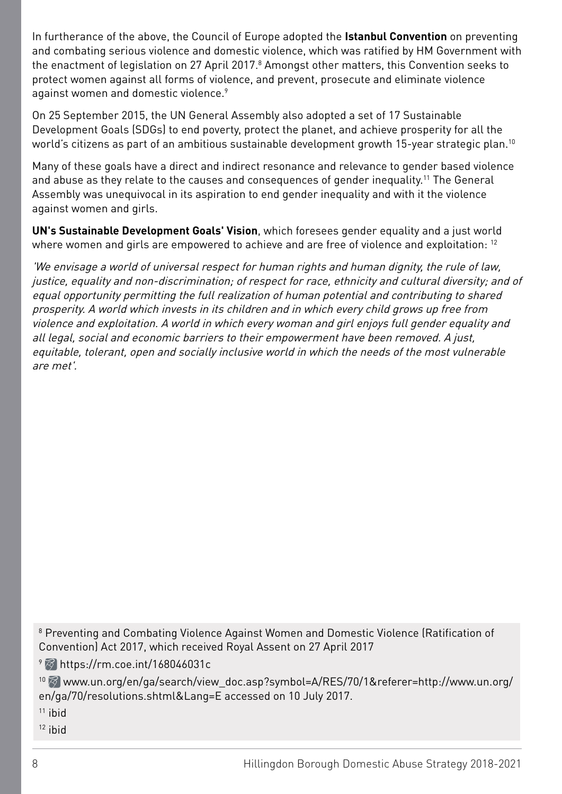In furtherance of the above, the Council of Europe adopted the **Istanbul Convention** on preventing and combating serious violence and domestic violence, which was ratified by HM Government with the enactment of legislation on 27 April 2017.<sup>8</sup> Amongst other matters, this Convention seeks to protect women against all forms of violence, and prevent, prosecute and eliminate violence against women and domestic violence.<sup>9</sup>

On 25 September 2015, the UN General Assembly also adopted a set of 17 Sustainable Development Goals (SDGs) to end poverty, protect the planet, and achieve prosperity for all the world's citizens as part of an ambitious sustainable development growth 15-year strategic plan.<sup>10</sup>

Many of these goals have a direct and indirect resonance and relevance to gender based violence and abuse as they relate to the causes and consequences of gender inequality.<sup>11</sup> The General Assembly was unequivocal in its aspiration to end gender inequality and with it the violence against women and girls.

**UN's Sustainable Development Goals' Vision**, which foresees gender equality and a just world where women and girls are empowered to achieve and are free of violence and exploitation: <sup>12</sup>

'We envisage a world of universal respect for human rights and human dignity, the rule of law, justice, equality and non-discrimination; of respect for race, ethnicity and cultural diversity; and of equal opportunity permitting the full realization of human potential and contributing to shared prosperity. A world which invests in its children and in which every child grows up free from violence and exploitation. A world in which every woman and girl enjoys full gender equality and all legal, social and economic barriers to their empowerment have been removed. A just, equitable, tolerant, open and socially inclusive world in which the needs of the most vulnerable are met'.

<sup>8</sup> Preventing and Combating Violence Against Women and Domestic Violence (Ratification of Convention) Act 2017, which received Royal Assent on 27 April 2017

 $\sqrt[9]{\otimes}$  https://rm.coe.int/168046031c

10 www.un.org/en/ga/search/view\_doc.asp?symbol=A/RES/70/1&referer=http://www.un.org/ en/ga/70/resolutions.shtml&Lang=E accessed on 10 July 2017.

 $11$  ibid

 $12$  ibid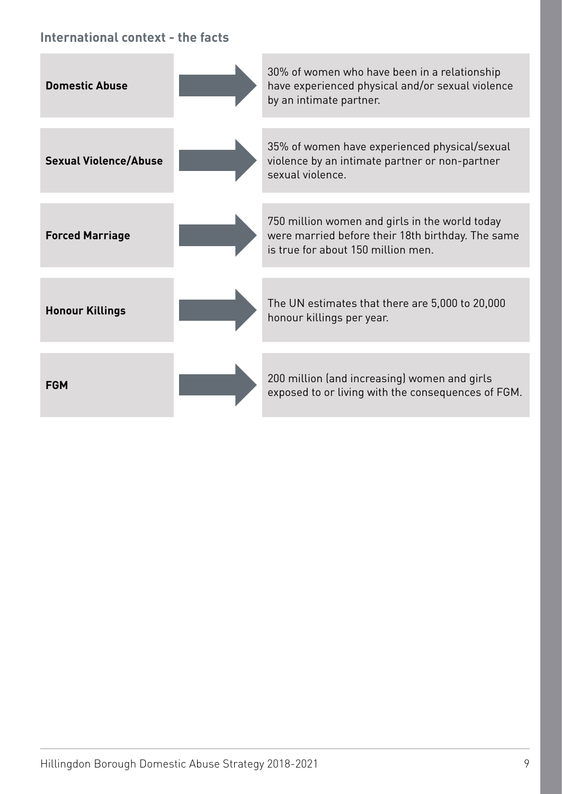### **International context - the facts**

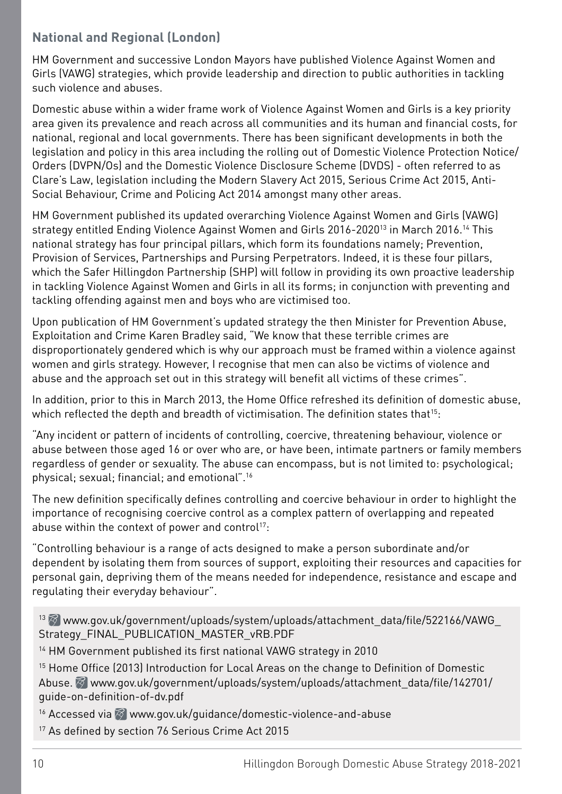### **National and Regional (London)**

HM Government and successive London Mayors have published Violence Against Women and Girls (VAWG) strategies, which provide leadership and direction to public authorities in tackling such violence and abuses.

Domestic abuse within a wider frame work of Violence Against Women and Girls is a key priority area given its prevalence and reach across all communities and its human and financial costs, for national, regional and local governments. There has been significant developments in both the legislation and policy in this area including the rolling out of Domestic Violence Protection Notice/ Orders (DVPN/Os) and the Domestic Violence Disclosure Scheme (DVDS) - often referred to as Clare's Law, legislation including the Modern Slavery Act 2015, Serious Crime Act 2015, Anti-Social Behaviour, Crime and Policing Act 2014 amongst many other areas.

HM Government published its updated overarching Violence Against Women and Girls (VAWG) strategy entitled Ending Violence Against Women and Girls 2016-2020<sup>13</sup> in March 2016.<sup>14</sup> This national strategy has four principal pillars, which form its foundations namely; Prevention, Provision of Services, Partnerships and Pursing Perpetrators. Indeed, it is these four pillars, which the Safer Hillingdon Partnership (SHP) will follow in providing its own proactive leadership in tackling Violence Against Women and Girls in all its forms; in conjunction with preventing and tackling offending against men and boys who are victimised too.

Upon publication of HM Government's updated strategy the then Minister for Prevention Abuse, Exploitation and Crime Karen Bradley said, "We know that these terrible crimes are disproportionately gendered which is why our approach must be framed within a violence against women and girls strategy. However, I recognise that men can also be victims of violence and abuse and the approach set out in this strategy will benefit all victims of these crimes".

In addition, prior to this in March 2013, the Home Office refreshed its definition of domestic abuse, which reflected the depth and breadth of victimisation. The definition states that<sup>15</sup>:

"Any incident or pattern of incidents of controlling, coercive, threatening behaviour, violence or abuse between those aged 16 or over who are, or have been, intimate partners or family members regardless of gender or sexuality. The abuse can encompass, but is not limited to: psychological; physical; sexual; financial; and emotional".16

The new definition specifically defines controlling and coercive behaviour in order to highlight the importance of recognising coercive control as a complex pattern of overlapping and repeated abuse within the context of power and control $17$ :

"Controlling behaviour is a range of acts designed to make a person subordinate and/or dependent by isolating them from sources of support, exploiting their resources and capacities for personal gain, depriving them of the means needed for independence, resistance and escape and regulating their everyday behaviour".

13  $\%$  www.gov.uk/government/uploads/system/uploads/attachment\_data/file/522166/VAWG\_ Strategy\_FINAL\_PUBLICATION\_MASTER\_vRB.PDF

<sup>14</sup> HM Government published its first national VAWG strategy in 2010

<sup>15</sup> Home Office (2013) Introduction for Local Areas on the change to Definition of Domestic Abuse. Www.gov.uk/government/uploads/system/uploads/attachment\_data/file/142701/ guide-on-definition-of-dv.pdf

<sup>16</sup> Accessed via  $\otimes$  www.gov.uk/guidance/domestic-violence-and-abuse

17 As defined by section 76 Serious Crime Act 2015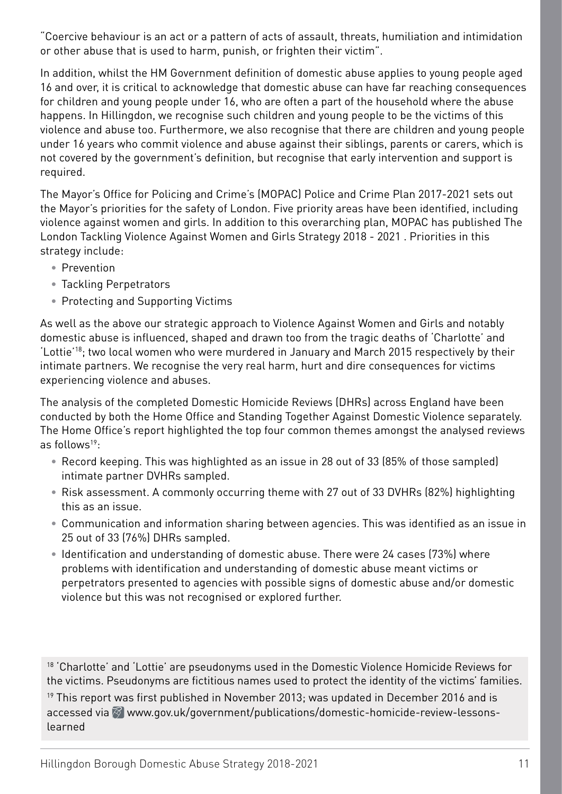"Coercive behaviour is an act or a pattern of acts of assault, threats, humiliation and intimidation or other abuse that is used to harm, punish, or frighten their victim".

In addition, whilst the HM Government definition of domestic abuse applies to young people aged 16 and over, it is critical to acknowledge that domestic abuse can have far reaching consequences for children and young people under 16, who are often a part of the household where the abuse happens. In Hillingdon, we recognise such children and young people to be the victims of this violence and abuse too. Furthermore, we also recognise that there are children and young people under 16 years who commit violence and abuse against their siblings, parents or carers, which is not covered by the government's definition, but recognise that early intervention and support is required.

The Mayor's Office for Policing and Crime's (MOPAC) Police and Crime Plan 2017-2021 sets out the Mayor's priorities for the safety of London. Five priority areas have been identified, including violence against women and girls. In addition to this overarching plan, MOPAC has published The London Tackling Violence Against Women and Girls Strategy 2018 - 2021 . Priorities in this strategy include:

- Prevention
- Tackling Perpetrators
- Protecting and Supporting Victims

As well as the above our strategic approach to Violence Against Women and Girls and notably domestic abuse is influenced, shaped and drawn too from the tragic deaths of 'Charlotte' and 'Lottie'18; two local women who were murdered in January and March 2015 respectively by their intimate partners. We recognise the very real harm, hurt and dire consequences for victims experiencing violence and abuses.

The analysis of the completed Domestic Homicide Reviews (DHRs) across England have been conducted by both the Home Office and Standing Together Against Domestic Violence separately. The Home Office's report highlighted the top four common themes amongst the analysed reviews as follows $19$ :

- Record keeping. This was highlighted as an issue in 28 out of 33 (85% of those sampled) intimate partner DVHRs sampled.
- Risk assessment. A commonly occurring theme with 27 out of 33 DVHRs (82%) highlighting this as an issue.
- Communication and information sharing between agencies. This was identified as an issue in 25 out of 33 (76%) DHRs sampled.
- Identification and understanding of domestic abuse. There were 24 cases (73%) where problems with identification and understanding of domestic abuse meant victims or perpetrators presented to agencies with possible signs of domestic abuse and/or domestic violence but this was not recognised or explored further.

18 'Charlotte' and 'Lottie' are pseudonyms used in the Domestic Violence Homicide Reviews for the victims. Pseudonyms are fictitious names used to protect the identity of the victims' families.  $19$  This report was first published in November 2013; was updated in December 2016 and is accessed via Www.gov.uk/government/publications/domestic-homicide-review-lessonslearned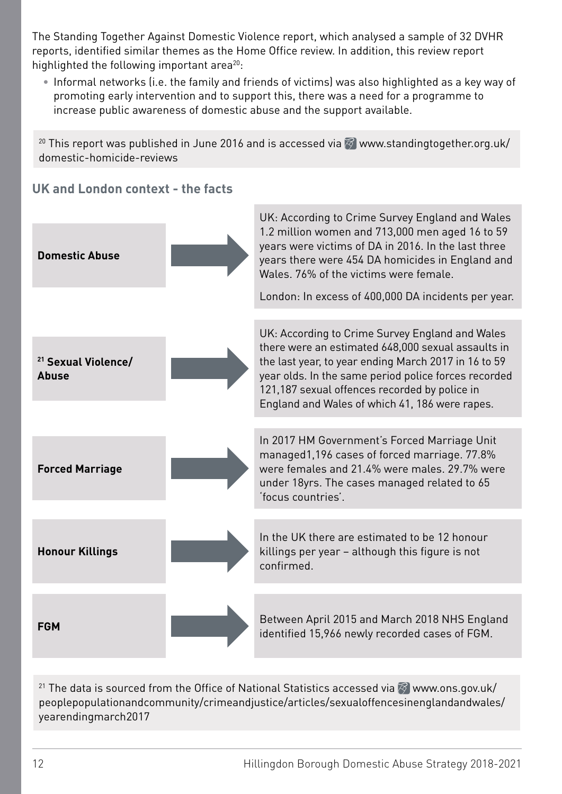The Standing Together Against Domestic Violence report, which analysed a sample of 32 DVHR reports, identified similar themes as the Home Office review. In addition, this review report highlighted the following important area $^{20}$ :

• Informal networks (i.e. the family and friends of victims) was also highlighted as a key way of promoting early intervention and to support this, there was a need for a programme to increase public awareness of domestic abuse and the support available.

<sup>20</sup> This report was published in June 2016 and is accessed via  $\otimes$  www.standingtogether.org.uk/ domestic-homicide-reviews

### **UK and London context - the facts** UK: According to Crime Survey England and Wales 1.2 million women and 713,000 men aged 16 to 59 years were victims of DA in 2016. In the last three years there were 454 DA homicides in England and Wales. 76% of the victims were female. London: In excess of 400,000 DA incidents per year. UK: According to Crime Survey England and Wales there were an estimated 648,000 sexual assaults in the last year, to year ending March 2017 in 16 to 59 year olds. In the same period police forces recorded 121,187 sexual offences recorded by police in England and Wales of which 41, 186 were rapes. In 2017 HM Government's Forced Marriage Unit managed1,196 cases of forced marriage. 77.8% were females and 21.4% were males. 29.7% were under 18yrs. The cases managed related to 65 'focus countries'. In the UK there are estimated to be 12 honour killings per year – although this figure is not confirmed. Between April 2015 and March 2018 NHS England identified 15,966 newly recorded cases of FGM. **Domestic Abuse 21 Sexual Violence/ Abuse Forced Marriage Honour Killings FGM**

<sup>21</sup> The data is sourced from the Office of National Statistics accessed via  $\otimes$  www.ons.gov.uk/ peoplepopulationandcommunity/crimeandjustice/articles/sexualoffencesinenglandandwales/ yearendingmarch2017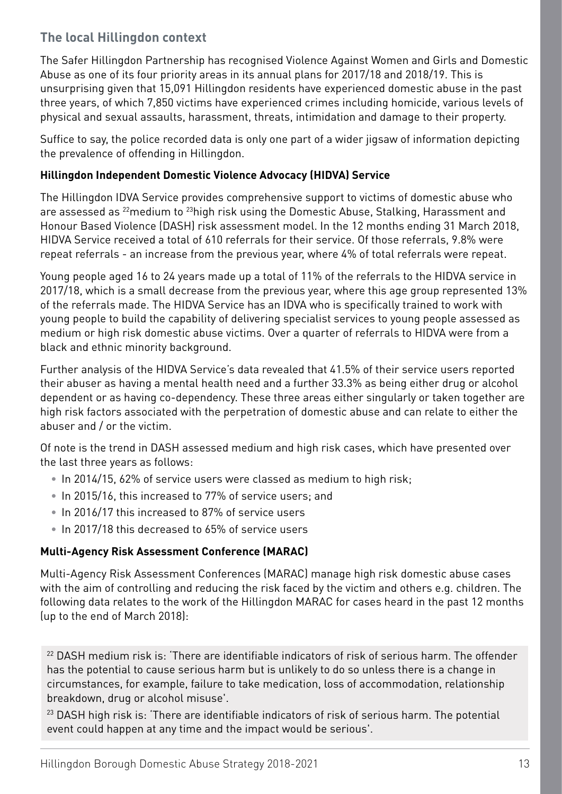### **The local Hillingdon context**

The Safer Hillingdon Partnership has recognised Violence Against Women and Girls and Domestic Abuse as one of its four priority areas in its annual plans for 2017/18 and 2018/19. This is unsurprising given that 15,091 Hillingdon residents have experienced domestic abuse in the past three years, of which 7,850 victims have experienced crimes including homicide, various levels of physical and sexual assaults, harassment, threats, intimidation and damage to their property.

Suffice to say, the police recorded data is only one part of a wider jigsaw of information depicting the prevalence of offending in Hillingdon.

### **Hillingdon Independent Domestic Violence Advocacy (HIDVA) Service**

The Hillingdon IDVA Service provides comprehensive support to victims of domestic abuse who are assessed as <sup>22</sup>medium to <sup>23</sup>high risk using the Domestic Abuse, Stalking, Harassment and Honour Based Violence (DASH) risk assessment model. In the 12 months ending 31 March 2018, HIDVA Service received a total of 610 referrals for their service. Of those referrals, 9.8% were repeat referrals - an increase from the previous year, where 4% of total referrals were repeat.

Young people aged 16 to 24 years made up a total of 11% of the referrals to the HIDVA service in 2017/18, which is a small decrease from the previous year, where this age group represented 13% of the referrals made. The HIDVA Service has an IDVA who is specifically trained to work with young people to build the capability of delivering specialist services to young people assessed as medium or high risk domestic abuse victims. Over a quarter of referrals to HIDVA were from a black and ethnic minority background.

Further analysis of the HIDVA Service's data revealed that 41.5% of their service users reported their abuser as having a mental health need and a further 33.3% as being either drug or alcohol dependent or as having co-dependency. These three areas either singularly or taken together are high risk factors associated with the perpetration of domestic abuse and can relate to either the abuser and / or the victim.

Of note is the trend in DASH assessed medium and high risk cases, which have presented over the last three years as follows:

- In 2014/15, 62% of service users were classed as medium to high risk;
- In 2015/16, this increased to 77% of service users; and
- In 2016/17 this increased to 87% of service users
- In 2017/18 this decreased to 65% of service users

### **Multi-Agency Risk Assessment Conference (MARAC)**

Multi-Agency Risk Assessment Conferences (MARAC) manage high risk domestic abuse cases with the aim of controlling and reducing the risk faced by the victim and others e.g. children. The following data relates to the work of the Hillingdon MARAC for cases heard in the past 12 months (up to the end of March 2018):

<sup>22</sup> DASH medium risk is: 'There are identifiable indicators of risk of serious harm. The offender has the potential to cause serious harm but is unlikely to do so unless there is a change in circumstances, for example, failure to take medication, loss of accommodation, relationship breakdown, drug or alcohol misuse'.

<sup>23</sup> DASH high risk is: 'There are identifiable indicators of risk of serious harm. The potential event could happen at any time and the impact would be serious'.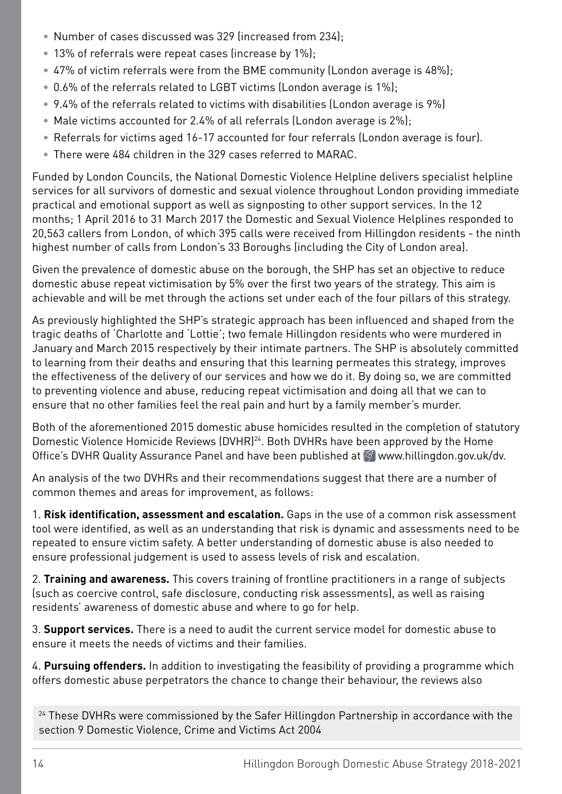- Number of cases discussed was 329 (increased from 234);
- 13% of referrals were repeat cases (increase by 1%);
- 47% of victim referrals were from the BME community (London average is 48%);
- 0.6% of the referrals related to LGBT victims (London average is 1%);
- 9.4% of the referrals related to victims with disabilities (London average is 9%)
- Male victims accounted for 2.4% of all referrals (London average is 2%);
- Referrals for victims aged 16-17 accounted for four referrals (London average is four).
- There were 484 children in the 329 cases referred to MARAC.

Funded by London Councils, the National Domestic Violence Helpline delivers specialist helpline services for all survivors of domestic and sexual violence throughout London providing immediate practical and emotional support as well as signposting to other support services. In the 12 months; 1 April 2016 to 31 March 2017 the Domestic and Sexual Violence Helplines responded to 20,563 callers from London, of which 395 calls were received from Hillingdon residents - the ninth highest number of calls from London's 33 Boroughs (including the City of London area).

Given the prevalence of domestic abuse on the borough, the SHP has set an objective to reduce domestic abuse repeat victimisation by 5% over the first two years of the strategy. This aim is achievable and will be met through the actions set under each of the four pillars of this strategy.

As previously highlighted the SHP's strategic approach has been influenced and shaped from the tragic deaths of 'Charlotte and 'Lottie'; two female Hillingdon residents who were murdered in January and March 2015 respectively by their intimate partners. The SHP is absolutely committed to learning from their deaths and ensuring that this learning permeates this strategy, improves the effectiveness of the delivery of our services and how we do it. By doing so, we are committed to preventing violence and abuse, reducing repeat victimisation and doing all that we can to ensure that no other families feel the real pain and hurt by a family member's murder.

Both of the aforementioned 2015 domestic abuse homicides resulted in the completion of statutory Domestic Violence Homicide Reviews (DVHR)<sup>24</sup>. Both DVHRs have been approved by the Home Office's DVHR Quality Assurance Panel and have been published at  $\otimes$  www.hillingdon.gov.uk/dv.

An analysis of the two DVHRs and their recommendations suggest that there are a number of common themes and areas for improvement, as follows:

1. **Risk identification, assessment and escalation.** Gaps in the use of a common risk assessment tool were identified, as well as an understanding that risk is dynamic and assessments need to be repeated to ensure victim safety. A better understanding of domestic abuse is also needed to ensure professional judgement is used to assess levels of risk and escalation.

2. **Training and awareness.** This covers training of frontline practitioners in a range of subjects (such as coercive control, safe disclosure, conducting risk assessments), as well as raising residents' awareness of domestic abuse and where to go for help.

3. **Support services.** There is a need to audit the current service model for domestic abuse to ensure it meets the needs of victims and their families.

4. **Pursuing offenders.** In addition to investigating the feasibility of providing a programme which offers domestic abuse perpetrators the chance to change their behaviour, the reviews also

<sup>24</sup> These DVHRs were commissioned by the Safer Hillingdon Partnership in accordance with the section 9 Domestic Violence, Crime and Victims Act 2004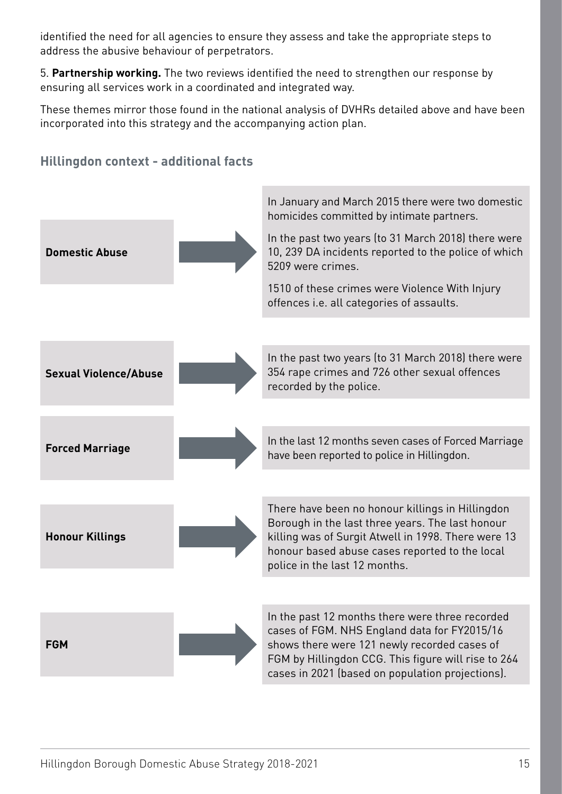identified the need for all agencies to ensure they assess and take the appropriate steps to address the abusive behaviour of perpetrators.

5. **Partnership working.** The two reviews identified the need to strengthen our response by ensuring all services work in a coordinated and integrated way.

These themes mirror those found in the national analysis of DVHRs detailed above and have been incorporated into this strategy and the accompanying action plan.



### **Hillingdon context - additional facts**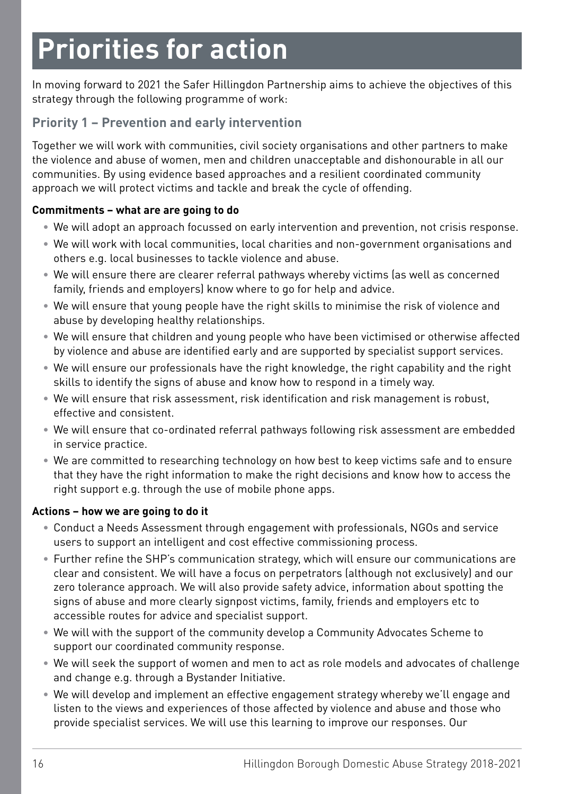### **Priorities for action**

In moving forward to 2021 the Safer Hillingdon Partnership aims to achieve the objectives of this strategy through the following programme of work:

### **Priority 1 – Prevention and early intervention**

Together we will work with communities, civil society organisations and other partners to make the violence and abuse of women, men and children unacceptable and dishonourable in all our communities. By using evidence based approaches and a resilient coordinated community approach we will protect victims and tackle and break the cycle of offending.

### **Commitments – what are are going to do**

- We will adopt an approach focussed on early intervention and prevention, not crisis response.
- We will work with local communities, local charities and non-government organisations and others e.g. local businesses to tackle violence and abuse.
- We will ensure there are clearer referral pathways whereby victims (as well as concerned family, friends and employers) know where to go for help and advice.
- We will ensure that young people have the right skills to minimise the risk of violence and abuse by developing healthy relationships.
- We will ensure that children and young people who have been victimised or otherwise affected by violence and abuse are identified early and are supported by specialist support services.
- We will ensure our professionals have the right knowledge, the right capability and the right skills to identify the signs of abuse and know how to respond in a timely way.
- We will ensure that risk assessment, risk identification and risk management is robust, effective and consistent.
- We will ensure that co-ordinated referral pathways following risk assessment are embedded in service practice.
- We are committed to researching technology on how best to keep victims safe and to ensure that they have the right information to make the right decisions and know how to access the right support e.g. through the use of mobile phone apps.

### **Actions – how we are going to do it**

- Conduct a Needs Assessment through engagement with professionals, NGOs and service users to support an intelligent and cost effective commissioning process.
- Further refine the SHP's communication strategy, which will ensure our communications are clear and consistent. We will have a focus on perpetrators (although not exclusively) and our zero tolerance approach. We will also provide safety advice, information about spotting the signs of abuse and more clearly signpost victims, family, friends and employers etc to accessible routes for advice and specialist support.
- We will with the support of the community develop a Community Advocates Scheme to support our coordinated community response.
- We will seek the support of women and men to act as role models and advocates of challenge and change e.g. through a Bystander Initiative.
- We will develop and implement an effective engagement strategy whereby we'll engage and listen to the views and experiences of those affected by violence and abuse and those who provide specialist services. We will use this learning to improve our responses. Our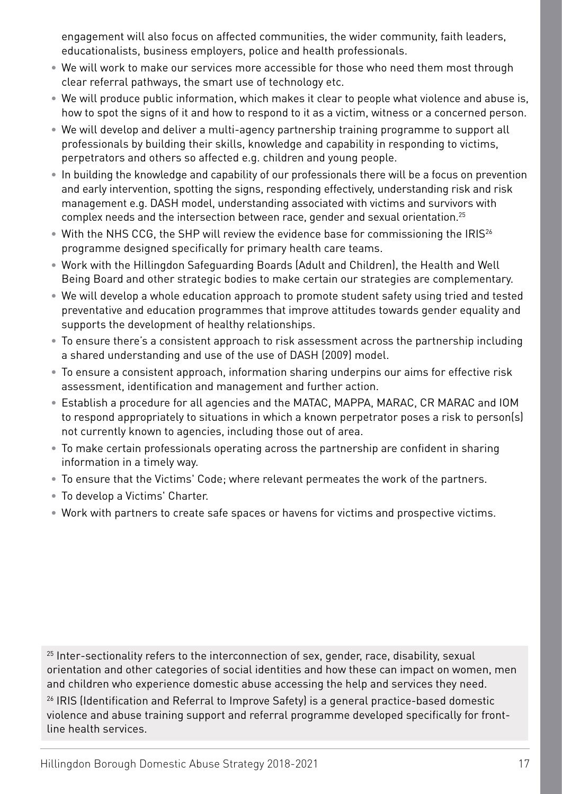engagement will also focus on affected communities, the wider community, faith leaders, educationalists, business employers, police and health professionals.

- We will work to make our services more accessible for those who need them most through clear referral pathways, the smart use of technology etc.
- We will produce public information, which makes it clear to people what violence and abuse is, how to spot the signs of it and how to respond to it as a victim, witness or a concerned person.
- We will develop and deliver a multi-agency partnership training programme to support all professionals by building their skills, knowledge and capability in responding to victims, perpetrators and others so affected e.g. children and young people.
- In building the knowledge and capability of our professionals there will be a focus on prevention and early intervention, spotting the signs, responding effectively, understanding risk and risk management e.g. DASH model, understanding associated with victims and survivors with complex needs and the intersection between race, gender and sexual orientation.25
- With the NHS CCG, the SHP will review the evidence base for commissioning the IRIS<sup>26</sup> programme designed specifically for primary health care teams.
- Work with the Hillingdon Safeguarding Boards (Adult and Children), the Health and Well Being Board and other strategic bodies to make certain our strategies are complementary.
- We will develop a whole education approach to promote student safety using tried and tested preventative and education programmes that improve attitudes towards gender equality and supports the development of healthy relationships.
- To ensure there's a consistent approach to risk assessment across the partnership including a shared understanding and use of the use of DASH (2009) model.
- To ensure a consistent approach, information sharing underpins our aims for effective risk assessment, identification and management and further action.
- Establish a procedure for all agencies and the MATAC, MAPPA, MARAC, CR MARAC and IOM to respond appropriately to situations in which a known perpetrator poses a risk to person(s) not currently known to agencies, including those out of area.
- To make certain professionals operating across the partnership are confident in sharing information in a timely way.
- To ensure that the Victims' Code; where relevant permeates the work of the partners.
- To develop a Victims' Charter.
- Work with partners to create safe spaces or havens for victims and prospective victims.

 $25$  Inter-sectionality refers to the interconnection of sex, gender, race, disability, sexual orientation and other categories of social identities and how these can impact on women, men and children who experience domestic abuse accessing the help and services they need. <sup>26</sup> IRIS (Identification and Referral to Improve Safety) is a general practice-based domestic violence and abuse training support and referral programme developed specifically for frontline health services.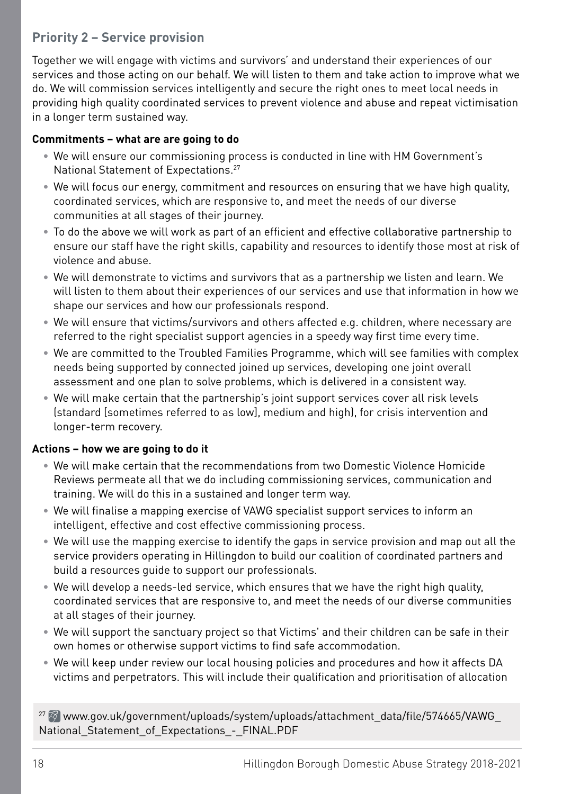### **Priority 2 – Service provision**

Together we will engage with victims and survivors' and understand their experiences of our services and those acting on our behalf. We will listen to them and take action to improve what we do. We will commission services intelligently and secure the right ones to meet local needs in providing high quality coordinated services to prevent violence and abuse and repeat victimisation in a longer term sustained way.

### **Commitments – what are are going to do**

- We will ensure our commissioning process is conducted in line with HM Government's National Statement of Expectations.27
- We will focus our energy, commitment and resources on ensuring that we have high quality, coordinated services, which are responsive to, and meet the needs of our diverse communities at all stages of their journey.
- To do the above we will work as part of an efficient and effective collaborative partnership to ensure our staff have the right skills, capability and resources to identify those most at risk of violence and abuse.
- We will demonstrate to victims and survivors that as a partnership we listen and learn. We will listen to them about their experiences of our services and use that information in how we shape our services and how our professionals respond.
- We will ensure that victims/survivors and others affected e.g. children, where necessary are referred to the right specialist support agencies in a speedy way first time every time.
- We are committed to the Troubled Families Programme, which will see families with complex needs being supported by connected joined up services, developing one joint overall assessment and one plan to solve problems, which is delivered in a consistent way.
- We will make certain that the partnership's joint support services cover all risk levels (standard [sometimes referred to as low], medium and high), for crisis intervention and longer-term recovery.

### **Actions – how we are going to do it**

- We will make certain that the recommendations from two Domestic Violence Homicide Reviews permeate all that we do including commissioning services, communication and training. We will do this in a sustained and longer term way.
- We will finalise a mapping exercise of VAWG specialist support services to inform an intelligent, effective and cost effective commissioning process.
- We will use the mapping exercise to identify the gaps in service provision and map out all the service providers operating in Hillingdon to build our coalition of coordinated partners and build a resources guide to support our professionals.
- We will develop a needs-led service, which ensures that we have the right high quality, coordinated services that are responsive to, and meet the needs of our diverse communities at all stages of their journey.
- We will support the sanctuary project so that Victims' and their children can be safe in their own homes or otherwise support victims to find safe accommodation.
- We will keep under review our local housing policies and procedures and how it affects DA victims and perpetrators. This will include their qualification and prioritisation of allocation

27 8 www.gov.uk/government/uploads/system/uploads/attachment\_data/file/574665/VAWG\_ National Statement of Expectations - FINAL.PDF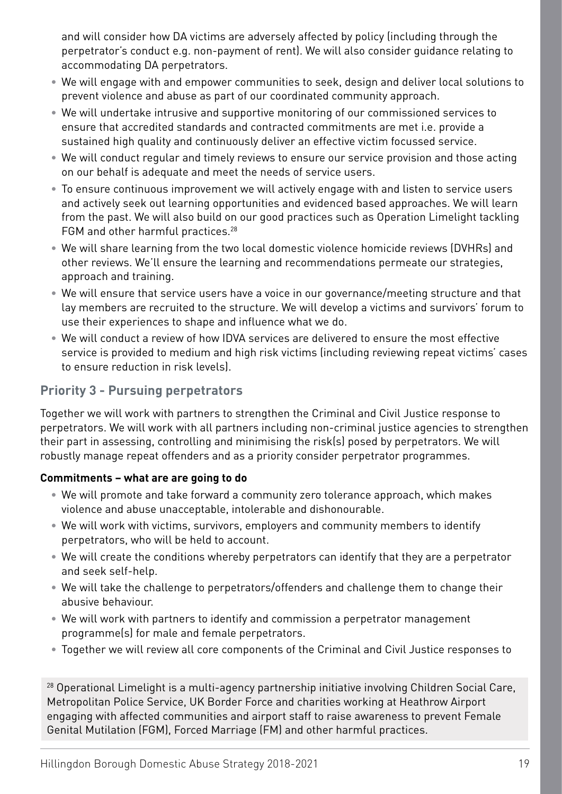and will consider how DA victims are adversely affected by policy (including through the perpetrator's conduct e.g. non-payment of rent). We will also consider guidance relating to accommodating DA perpetrators.

- We will engage with and empower communities to seek, design and deliver local solutions to prevent violence and abuse as part of our coordinated community approach.
- We will undertake intrusive and supportive monitoring of our commissioned services to ensure that accredited standards and contracted commitments are met i.e. provide a sustained high quality and continuously deliver an effective victim focussed service.
- We will conduct regular and timely reviews to ensure our service provision and those acting on our behalf is adequate and meet the needs of service users.
- To ensure continuous improvement we will actively engage with and listen to service users and actively seek out learning opportunities and evidenced based approaches. We will learn from the past. We will also build on our good practices such as Operation Limelight tackling FGM and other harmful practices.<sup>28</sup>
- We will share learning from the two local domestic violence homicide reviews (DVHRs) and other reviews. We'll ensure the learning and recommendations permeate our strategies, approach and training.
- We will ensure that service users have a voice in our governance/meeting structure and that lay members are recruited to the structure. We will develop a victims and survivors' forum to use their experiences to shape and influence what we do.
- We will conduct a review of how IDVA services are delivered to ensure the most effective service is provided to medium and high risk victims (including reviewing repeat victims' cases to ensure reduction in risk levels).

### **Priority 3 - Pursuing perpetrators**

Together we will work with partners to strengthen the Criminal and Civil Justice response to perpetrators. We will work with all partners including non-criminal justice agencies to strengthen their part in assessing, controlling and minimising the risk(s) posed by perpetrators. We will robustly manage repeat offenders and as a priority consider perpetrator programmes.

#### **Commitments – what are are going to do**

- We will promote and take forward a community zero tolerance approach, which makes violence and abuse unacceptable, intolerable and dishonourable.
- We will work with victims, survivors, employers and community members to identify perpetrators, who will be held to account.
- We will create the conditions whereby perpetrators can identify that they are a perpetrator and seek self-help.
- We will take the challenge to perpetrators/offenders and challenge them to change their abusive behaviour.
- We will work with partners to identify and commission a perpetrator management programme(s) for male and female perpetrators.
- Together we will review all core components of the Criminal and Civil Justice responses to

 $28$  Operational Limelight is a multi-agency partnership initiative involving Children Social Care, Metropolitan Police Service, UK Border Force and charities working at Heathrow Airport engaging with affected communities and airport staff to raise awareness to prevent Female Genital Mutilation (FGM), Forced Marriage (FM) and other harmful practices.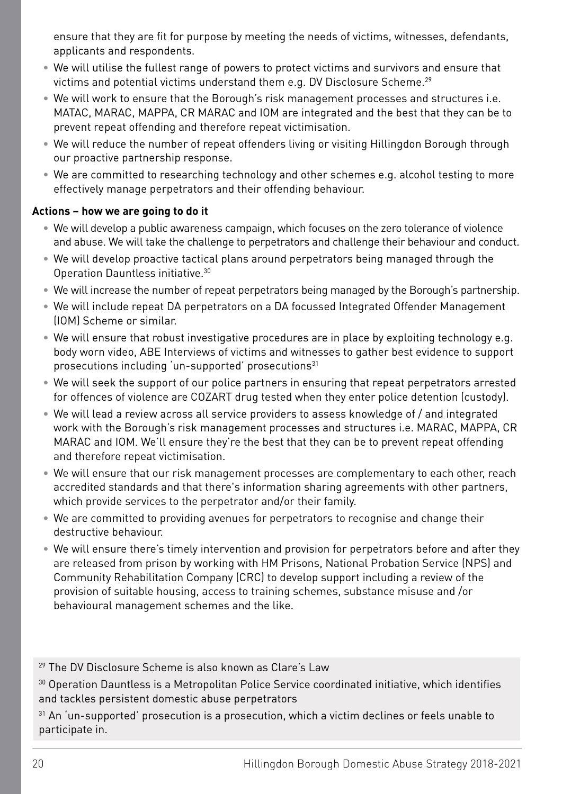ensure that they are fit for purpose by meeting the needs of victims, witnesses, defendants, applicants and respondents.

- We will utilise the fullest range of powers to protect victims and survivors and ensure that victims and potential victims understand them e.g. DV Disclosure Scheme.<sup>29</sup>
- We will work to ensure that the Borough's risk management processes and structures i.e. MATAC, MARAC, MAPPA, CR MARAC and IOM are integrated and the best that they can be to prevent repeat offending and therefore repeat victimisation.
- We will reduce the number of repeat offenders living or visiting Hillingdon Borough through our proactive partnership response.
- We are committed to researching technology and other schemes e.g. alcohol testing to more effectively manage perpetrators and their offending behaviour.

### **Actions – how we are going to do it**

- We will develop a public awareness campaign, which focuses on the zero tolerance of violence and abuse. We will take the challenge to perpetrators and challenge their behaviour and conduct.
- We will develop proactive tactical plans around perpetrators being managed through the Operation Dauntless initiative.<sup>30</sup>
- We will increase the number of repeat perpetrators being managed by the Borough's partnership.
- We will include repeat DA perpetrators on a DA focussed Integrated Offender Management (IOM) Scheme or similar.
- We will ensure that robust investigative procedures are in place by exploiting technology e.g. body worn video, ABE Interviews of victims and witnesses to gather best evidence to support prosecutions including 'un-supported' prosecutions<sup>31</sup>
- We will seek the support of our police partners in ensuring that repeat perpetrators arrested for offences of violence are COZART drug tested when they enter police detention (custody).
- We will lead a review across all service providers to assess knowledge of / and integrated work with the Borough's risk management processes and structures i.e. MARAC, MAPPA, CR MARAC and IOM. We'll ensure they're the best that they can be to prevent repeat offending and therefore repeat victimisation.
- We will ensure that our risk management processes are complementary to each other, reach accredited standards and that there's information sharing agreements with other partners, which provide services to the perpetrator and/or their family.
- We are committed to providing avenues for perpetrators to recognise and change their destructive behaviour.
- We will ensure there's timely intervention and provision for perpetrators before and after they are released from prison by working with HM Prisons, National Probation Service (NPS) and Community Rehabilitation Company (CRC) to develop support including a review of the provision of suitable housing, access to training schemes, substance misuse and /or behavioural management schemes and the like.

29 The DV Disclosure Scheme is also known as Clare's Law

30 Operation Dauntless is a Metropolitan Police Service coordinated initiative, which identifies and tackles persistent domestic abuse perpetrators

 $31$  An 'un-supported' prosecution is a prosecution, which a victim declines or feels unable to participate in.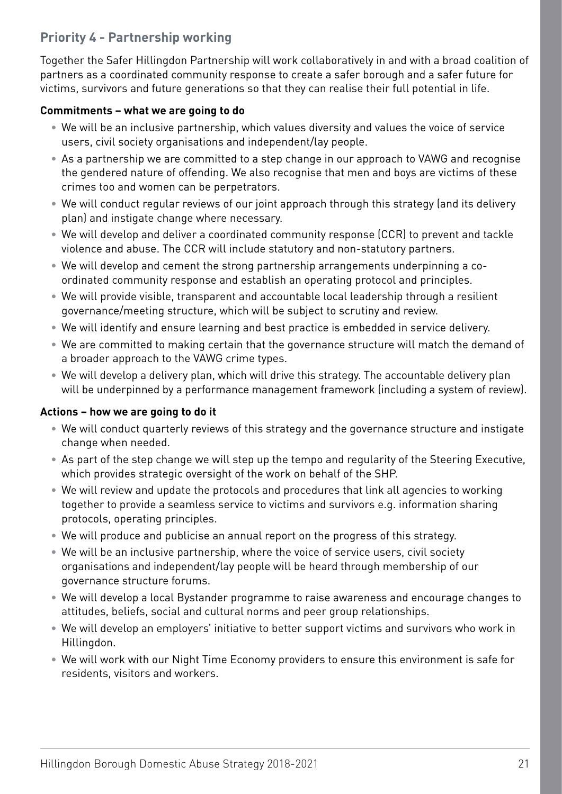### **Priority 4 - Partnership working**

Together the Safer Hillingdon Partnership will work collaboratively in and with a broad coalition of partners as a coordinated community response to create a safer borough and a safer future for victims, survivors and future generations so that they can realise their full potential in life.

#### **Commitments – what we are going to do**

- We will be an inclusive partnership, which values diversity and values the voice of service users, civil society organisations and independent/lay people.
- As a partnership we are committed to a step change in our approach to VAWG and recognise the gendered nature of offending. We also recognise that men and boys are victims of these crimes too and women can be perpetrators.
- We will conduct regular reviews of our joint approach through this strategy (and its delivery plan) and instigate change where necessary.
- We will develop and deliver a coordinated community response (CCR) to prevent and tackle violence and abuse. The CCR will include statutory and non-statutory partners.
- We will develop and cement the strong partnership arrangements underpinning a coordinated community response and establish an operating protocol and principles.
- We will provide visible, transparent and accountable local leadership through a resilient governance/meeting structure, which will be subject to scrutiny and review.
- We will identify and ensure learning and best practice is embedded in service delivery.
- We are committed to making certain that the governance structure will match the demand of a broader approach to the VAWG crime types.
- We will develop a delivery plan, which will drive this strategy. The accountable delivery plan will be underpinned by a performance management framework (including a system of review).

#### **Actions – how we are going to do it**

- We will conduct quarterly reviews of this strategy and the governance structure and instigate change when needed.
- As part of the step change we will step up the tempo and regularity of the Steering Executive, which provides strategic oversight of the work on behalf of the SHP.
- We will review and update the protocols and procedures that link all agencies to working together to provide a seamless service to victims and survivors e.g. information sharing protocols, operating principles.
- We will produce and publicise an annual report on the progress of this strategy.
- We will be an inclusive partnership, where the voice of service users, civil society organisations and independent/lay people will be heard through membership of our governance structure forums.
- We will develop a local Bystander programme to raise awareness and encourage changes to attitudes, beliefs, social and cultural norms and peer group relationships.
- We will develop an employers' initiative to better support victims and survivors who work in Hillingdon.
- We will work with our Night Time Economy providers to ensure this environment is safe for residents, visitors and workers.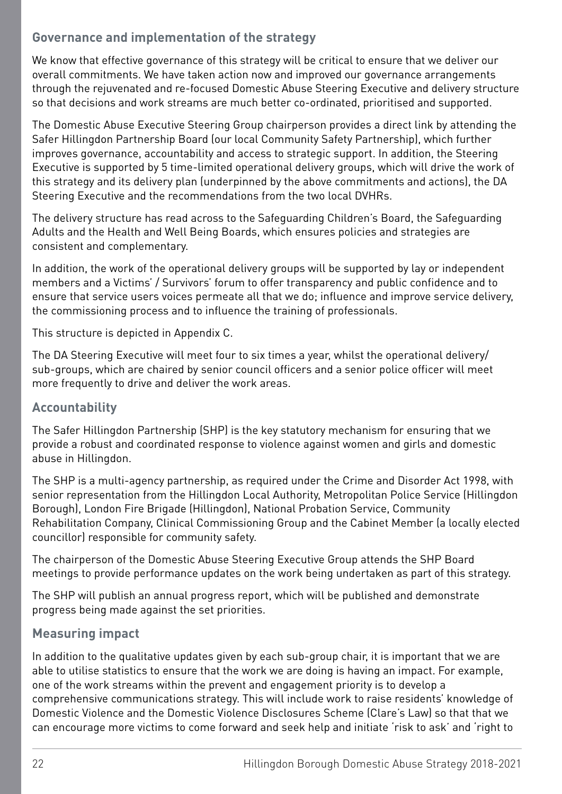### **Governance and implementation of the strategy**

We know that effective governance of this strategy will be critical to ensure that we deliver our overall commitments. We have taken action now and improved our governance arrangements through the rejuvenated and re-focused Domestic Abuse Steering Executive and delivery structure so that decisions and work streams are much better co-ordinated, prioritised and supported.

The Domestic Abuse Executive Steering Group chairperson provides a direct link by attending the Safer Hillingdon Partnership Board (our local Community Safety Partnership), which further improves governance, accountability and access to strategic support. In addition, the Steering Executive is supported by 5 time-limited operational delivery groups, which will drive the work of this strategy and its delivery plan (underpinned by the above commitments and actions), the DA Steering Executive and the recommendations from the two local DVHRs.

The delivery structure has read across to the Safeguarding Children's Board, the Safeguarding Adults and the Health and Well Being Boards, which ensures policies and strategies are consistent and complementary.

In addition, the work of the operational delivery groups will be supported by lay or independent members and a Victims' / Survivors' forum to offer transparency and public confidence and to ensure that service users voices permeate all that we do; influence and improve service delivery, the commissioning process and to influence the training of professionals.

This structure is depicted in Appendix C.

The DA Steering Executive will meet four to six times a year, whilst the operational delivery/ sub-groups, which are chaired by senior council officers and a senior police officer will meet more frequently to drive and deliver the work areas.

### **Accountability**

The Safer Hillingdon Partnership (SHP) is the key statutory mechanism for ensuring that we provide a robust and coordinated response to violence against women and girls and domestic abuse in Hillingdon.

The SHP is a multi-agency partnership, as required under the Crime and Disorder Act 1998, with senior representation from the Hillingdon Local Authority, Metropolitan Police Service (Hillingdon Borough), London Fire Brigade (Hillingdon), National Probation Service, Community Rehabilitation Company, Clinical Commissioning Group and the Cabinet Member (a locally elected councillor) responsible for community safety.

The chairperson of the Domestic Abuse Steering Executive Group attends the SHP Board meetings to provide performance updates on the work being undertaken as part of this strategy.

The SHP will publish an annual progress report, which will be published and demonstrate progress being made against the set priorities.

### **Measuring impact**

In addition to the qualitative updates given by each sub-group chair, it is important that we are able to utilise statistics to ensure that the work we are doing is having an impact. For example, one of the work streams within the prevent and engagement priority is to develop a comprehensive communications strategy. This will include work to raise residents' knowledge of Domestic Violence and the Domestic Violence Disclosures Scheme (Clare's Law) so that that we can encourage more victims to come forward and seek help and initiate 'risk to ask' and 'right to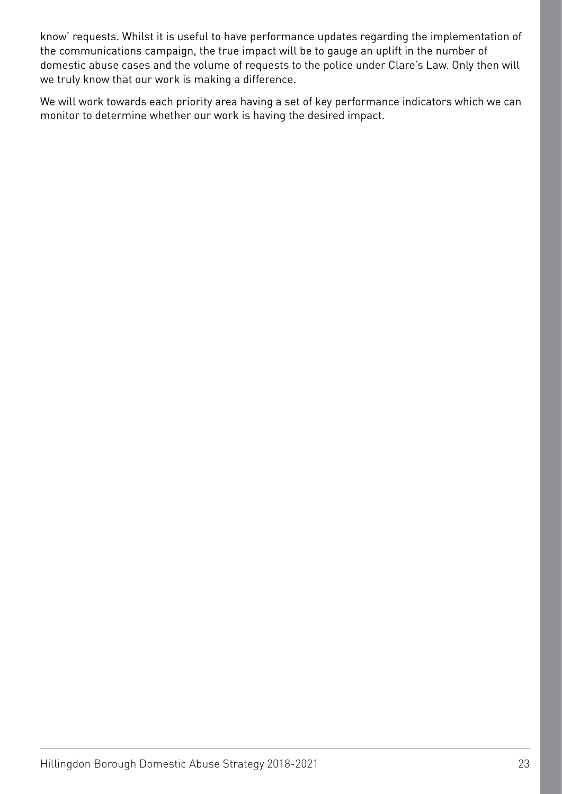know' requests. Whilst it is useful to have performance updates regarding the implementation of the communications campaign, the true impact will be to gauge an uplift in the number of domestic abuse cases and the volume of requests to the police under Clare's Law. Only then will we truly know that our work is making a difference.

We will work towards each priority area having a set of key performance indicators which we can monitor to determine whether our work is having the desired impact.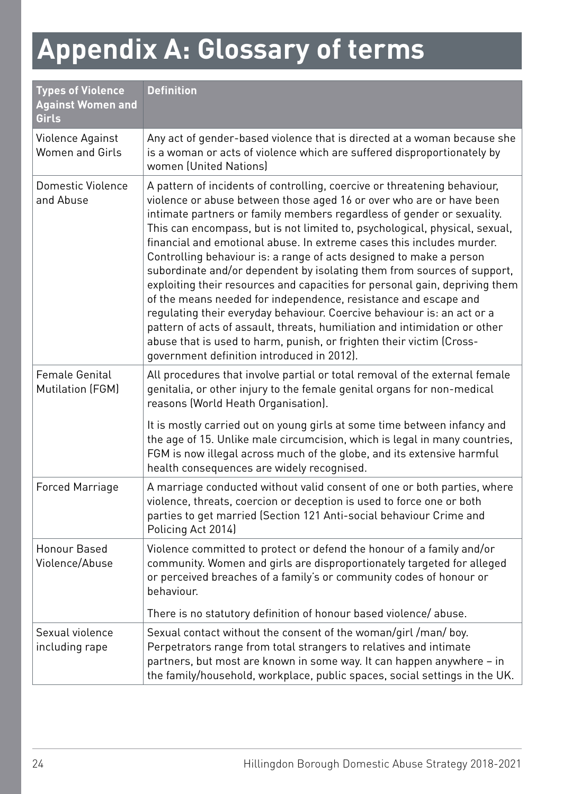# **Appendix A: Glossary of terms**

| <b>Types of Violence</b><br><b>Against Women and</b><br>Girls | <b>Definition</b>                                                                                                                                                                                                                                                                                                                                                                                                                                                                                                                                                                                                                                                                                                                                                                                                                                                                                                                                                      |
|---------------------------------------------------------------|------------------------------------------------------------------------------------------------------------------------------------------------------------------------------------------------------------------------------------------------------------------------------------------------------------------------------------------------------------------------------------------------------------------------------------------------------------------------------------------------------------------------------------------------------------------------------------------------------------------------------------------------------------------------------------------------------------------------------------------------------------------------------------------------------------------------------------------------------------------------------------------------------------------------------------------------------------------------|
| Violence Against<br><b>Women and Girls</b>                    | Any act of gender-based violence that is directed at a woman because she<br>is a woman or acts of violence which are suffered disproportionately by<br>women (United Nations)                                                                                                                                                                                                                                                                                                                                                                                                                                                                                                                                                                                                                                                                                                                                                                                          |
| Domestic Violence<br>and Abuse                                | A pattern of incidents of controlling, coercive or threatening behaviour,<br>violence or abuse between those aged 16 or over who are or have been<br>intimate partners or family members regardless of gender or sexuality.<br>This can encompass, but is not limited to, psychological, physical, sexual,<br>financial and emotional abuse. In extreme cases this includes murder.<br>Controlling behaviour is: a range of acts designed to make a person<br>subordinate and/or dependent by isolating them from sources of support,<br>exploiting their resources and capacities for personal gain, depriving them<br>of the means needed for independence, resistance and escape and<br>regulating their everyday behaviour. Coercive behaviour is: an act or a<br>pattern of acts of assault, threats, humiliation and intimidation or other<br>abuse that is used to harm, punish, or frighten their victim (Cross-<br>government definition introduced in 2012). |
| Female Genital<br>Mutilation (FGM)                            | All procedures that involve partial or total removal of the external female<br>genitalia, or other injury to the female genital organs for non-medical<br>reasons (World Heath Organisation).                                                                                                                                                                                                                                                                                                                                                                                                                                                                                                                                                                                                                                                                                                                                                                          |
|                                                               | It is mostly carried out on young girls at some time between infancy and<br>the age of 15. Unlike male circumcision, which is legal in many countries,<br>FGM is now illegal across much of the globe, and its extensive harmful<br>health consequences are widely recognised.                                                                                                                                                                                                                                                                                                                                                                                                                                                                                                                                                                                                                                                                                         |
| <b>Forced Marriage</b>                                        | A marriage conducted without valid consent of one or both parties, where<br>violence, threats, coercion or deception is used to force one or both<br>parties to get married (Section 121 Anti-social behaviour Crime and<br>Policing Act 2014)                                                                                                                                                                                                                                                                                                                                                                                                                                                                                                                                                                                                                                                                                                                         |
| <b>Honour Based</b><br>Violence/Abuse                         | Violence committed to protect or defend the honour of a family and/or<br>community. Women and girls are disproportionately targeted for alleged<br>or perceived breaches of a family's or community codes of honour or<br>behaviour.                                                                                                                                                                                                                                                                                                                                                                                                                                                                                                                                                                                                                                                                                                                                   |
|                                                               | There is no statutory definition of honour based violence/abuse.                                                                                                                                                                                                                                                                                                                                                                                                                                                                                                                                                                                                                                                                                                                                                                                                                                                                                                       |
| Sexual violence<br>including rape                             | Sexual contact without the consent of the woman/girl /man/ boy.<br>Perpetrators range from total strangers to relatives and intimate<br>partners, but most are known in some way. It can happen anywhere - in<br>the family/household, workplace, public spaces, social settings in the UK.                                                                                                                                                                                                                                                                                                                                                                                                                                                                                                                                                                                                                                                                            |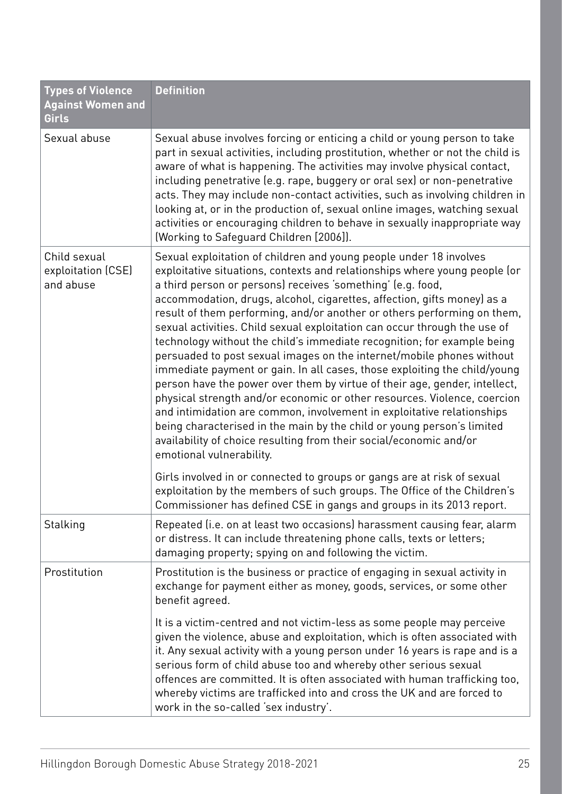| <b>Types of Violence</b><br><b>Against Women and</b><br><b>Girls</b> | <b>Definition</b>                                                                                                                                                                                                                                                                                                                                                                                                                                                                                                                                                                                                                                                                                                                                                                                                                                                                                                                                                                                                                                                                                                                                                              |
|----------------------------------------------------------------------|--------------------------------------------------------------------------------------------------------------------------------------------------------------------------------------------------------------------------------------------------------------------------------------------------------------------------------------------------------------------------------------------------------------------------------------------------------------------------------------------------------------------------------------------------------------------------------------------------------------------------------------------------------------------------------------------------------------------------------------------------------------------------------------------------------------------------------------------------------------------------------------------------------------------------------------------------------------------------------------------------------------------------------------------------------------------------------------------------------------------------------------------------------------------------------|
| Sexual abuse                                                         | Sexual abuse involves forcing or enticing a child or young person to take<br>part in sexual activities, including prostitution, whether or not the child is<br>aware of what is happening. The activities may involve physical contact,<br>including penetrative (e.g. rape, buggery or oral sex) or non-penetrative<br>acts. They may include non-contact activities, such as involving children in<br>looking at, or in the production of, sexual online images, watching sexual<br>activities or encouraging children to behave in sexually inappropriate way<br>(Working to Safeguard Children [2006]).                                                                                                                                                                                                                                                                                                                                                                                                                                                                                                                                                                    |
| Child sexual<br>exploitation (CSE)<br>and abuse                      | Sexual exploitation of children and young people under 18 involves<br>exploitative situations, contexts and relationships where young people (or<br>a third person or persons) receives 'something' (e.g. food,<br>accommodation, drugs, alcohol, cigarettes, affection, gifts money) as a<br>result of them performing, and/or another or others performing on them,<br>sexual activities. Child sexual exploitation can occur through the use of<br>technology without the child's immediate recognition; for example being<br>persuaded to post sexual images on the internet/mobile phones without<br>immediate payment or gain. In all cases, those exploiting the child/young<br>person have the power over them by virtue of their age, gender, intellect,<br>physical strength and/or economic or other resources. Violence, coercion<br>and intimidation are common, involvement in exploitative relationships<br>being characterised in the main by the child or young person's limited<br>availability of choice resulting from their social/economic and/or<br>emotional vulnerability.<br>Girls involved in or connected to groups or gangs are at risk of sexual |
|                                                                      | exploitation by the members of such groups. The Office of the Children's<br>Commissioner has defined CSE in gangs and groups in its 2013 report.                                                                                                                                                                                                                                                                                                                                                                                                                                                                                                                                                                                                                                                                                                                                                                                                                                                                                                                                                                                                                               |
| Stalking                                                             | Repeated (i.e. on at least two occasions) harassment causing fear, alarm<br>or distress. It can include threatening phone calls, texts or letters;<br>damaging property; spying on and following the victim.                                                                                                                                                                                                                                                                                                                                                                                                                                                                                                                                                                                                                                                                                                                                                                                                                                                                                                                                                                   |
| Prostitution                                                         | Prostitution is the business or practice of engaging in sexual activity in<br>exchange for payment either as money, goods, services, or some other<br>benefit agreed.                                                                                                                                                                                                                                                                                                                                                                                                                                                                                                                                                                                                                                                                                                                                                                                                                                                                                                                                                                                                          |
|                                                                      | It is a victim-centred and not victim-less as some people may perceive<br>given the violence, abuse and exploitation, which is often associated with<br>it. Any sexual activity with a young person under 16 years is rape and is a<br>serious form of child abuse too and whereby other serious sexual<br>offences are committed. It is often associated with human trafficking too,<br>whereby victims are trafficked into and cross the UK and are forced to<br>work in the so-called 'sex industry'.                                                                                                                                                                                                                                                                                                                                                                                                                                                                                                                                                                                                                                                                       |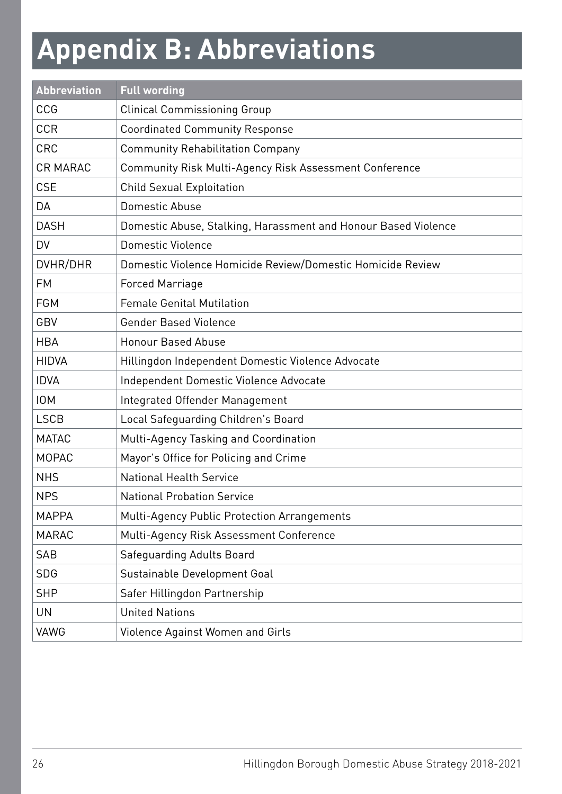# **Appendix B: Abbreviations**

| <b>Abbreviation</b> | <b>Full wording</b>                                            |
|---------------------|----------------------------------------------------------------|
| CCG                 | <b>Clinical Commissioning Group</b>                            |
| <b>CCR</b>          | <b>Coordinated Community Response</b>                          |
| CRC                 | <b>Community Rehabilitation Company</b>                        |
| <b>CR MARAC</b>     | Community Risk Multi-Agency Risk Assessment Conference         |
| <b>CSE</b>          | <b>Child Sexual Exploitation</b>                               |
| DA                  | Domestic Abuse                                                 |
| <b>DASH</b>         | Domestic Abuse, Stalking, Harassment and Honour Based Violence |
| <b>DV</b>           | <b>Domestic Violence</b>                                       |
| DVHR/DHR            | Domestic Violence Homicide Review/Domestic Homicide Review     |
| <b>FM</b>           | <b>Forced Marriage</b>                                         |
| <b>FGM</b>          | <b>Female Genital Mutilation</b>                               |
| GBV                 | <b>Gender Based Violence</b>                                   |
| <b>HBA</b>          | <b>Honour Based Abuse</b>                                      |
| <b>HIDVA</b>        | Hillingdon Independent Domestic Violence Advocate              |
| <b>IDVA</b>         | Independent Domestic Violence Advocate                         |
| <b>IOM</b>          | Integrated Offender Management                                 |
| <b>LSCB</b>         | Local Safeguarding Children's Board                            |
| <b>MATAC</b>        | Multi-Agency Tasking and Coordination                          |
| <b>MOPAC</b>        | Mayor's Office for Policing and Crime                          |
| <b>NHS</b>          | <b>National Health Service</b>                                 |
| <b>NPS</b>          | <b>National Probation Service</b>                              |
| <b>MAPPA</b>        | <b>Multi-Agency Public Protection Arrangements</b>             |
| <b>MARAC</b>        | Multi-Agency Risk Assessment Conference                        |
| SAB                 | <b>Safeguarding Adults Board</b>                               |
| <b>SDG</b>          | Sustainable Development Goal                                   |
| <b>SHP</b>          | Safer Hillingdon Partnership                                   |
| <b>UN</b>           | <b>United Nations</b>                                          |
| VAWG                | Violence Against Women and Girls                               |